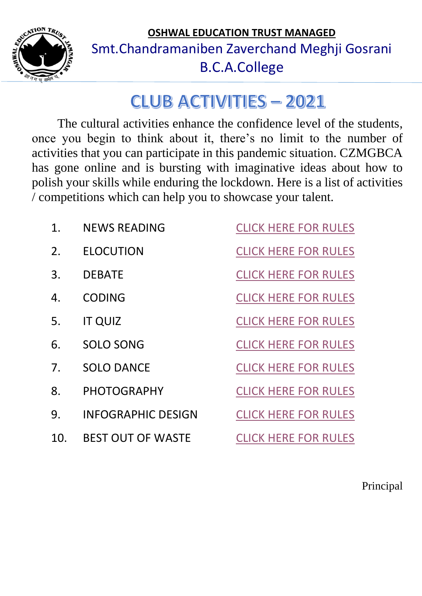<span id="page-0-0"></span>

**OSHWAL EDUCATION TRUST MANAGED** Smt.Chandramaniben Zaverchand Meghji Gosrani B.C.A.College

# **CLUB ACTIVITIES - 2021**

The cultural activities enhance the confidence level of the students, once you begin to think about it, there's no limit to the number of activities that you can participate in this pandemic situation. CZMGBCA has gone online and is bursting with imaginative ideas about how to polish your skills while enduring the lockdown. Here is a list of activities / competitions which can help you to showcase your talent.

| <b>NEWS READING</b>       | <b>CLICK HERE FOR RULES</b> |
|---------------------------|-----------------------------|
| <b>ELOCUTION</b>          | <b>CLICK HERE FOR RULES</b> |
| <b>DEBATE</b>             | <b>CLICK HERE FOR RULES</b> |
| <b>CODING</b>             | <b>CLICK HERE FOR RULES</b> |
| <b>IT QUIZ</b>            | <b>CLICK HERE FOR RULES</b> |
| SOLO SONG                 | <b>CLICK HERE FOR RULES</b> |
| <b>SOLO DANCE</b>         | <b>CLICK HERE FOR RULES</b> |
| <b>PHOTOGRAPHY</b>        | <b>CLICK HERE FOR RULES</b> |
| <b>INFOGRAPHIC DESIGN</b> | <b>CLICK HERE FOR RULES</b> |
| <b>BEST OUT OF WASTE</b>  | <b>CLICK HERE FOR RULES</b> |
|                           |                             |

Principal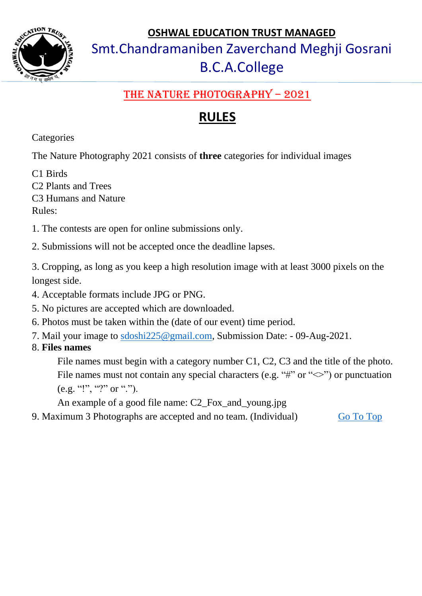

## Smt.Chandramaniben Zaverchand Meghji Gosrani B.C.A.College

#### THE NATURE PHOTOGRAPHY - 2021

### **RULES**

<span id="page-1-0"></span>**Categories** 

The Nature Photography 2021 consists of **three** categories for individual images

C1 Birds

C2 Plants and Trees C3 Humans and Nature

Rules:

1. The contests are open for online submissions only.

2. Submissions will not be accepted once the deadline lapses.

3. Cropping, as long as you keep a high resolution image with at least 3000 pixels on the longest side.

4. Acceptable formats include JPG or PNG.

- 5. No pictures are accepted which are downloaded.
- 6. Photos must be taken within the (date of our event) time period.
- 7. Mail your image to [sdoshi225@gmail.com,](mailto:sdoshi225@gmail.com) Submission Date: 09-Aug-2021.

#### 8. **Files names**

File names must begin with a category number C1, C2, C3 and the title of the photo. File names must not contain any special characters (e.g. "#" or " $\ll$ ") or punctuation (e.g. "!", "?" or ".").

An example of a good file name: C2\_Fox\_and\_young.jpg

9. Maximum 3 Photographs are accepted and no team. (Individual) Go To Top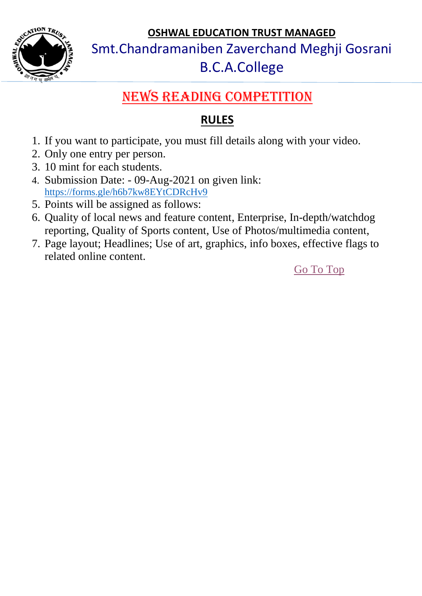

Smt.Chandramaniben Zaverchand Meghji Gosrani

### B.C.A.College

## NEWS READING COMPETITION

#### **RULES**

- <span id="page-2-0"></span>1. If you want to participate, you must fill details along with your video.
- 2. Only one entry per person.
- 3. 10 mint for each students.
- 4. Submission Date: 09-Aug-2021 on given link: <https://forms.gle/h6b7kw8EYtCDRcHv9>
- 5. Points will be assigned as follows:
- 6. Quality of local news and feature content, Enterprise, In-depth/watchdog reporting, Quality of Sports content, Use of Photos/multimedia content,
- 7. Page layout; Headlines; Use of art, graphics, info boxes, effective flags to related online content.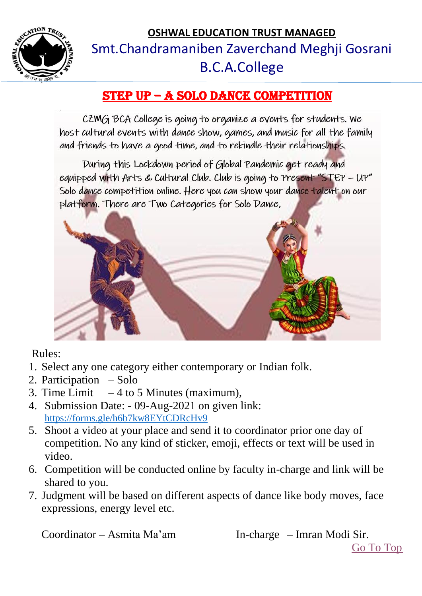

## **OSHWAL EDUCATION TRUST MANAGED** Smt.Chandramaniben Zaverchand Meghji Gosrani B.C.A.College

#### <span id="page-3-0"></span>STEP UP – A SOLO DANCE COMPETITION

CZMG BCA College is going to organize a events for students. We host cultural events with dance show, games, and music for all the family and friends to have a good time, and to rekindle their relationships.

During this Lockdown period of Global Pandemic get ready and equipped with Arts & Cultural Club. Club is going to Present "STEP - UP" Solo dance competition online. Here you can show your dance talent on our platform. There are Two Categories for Solo Dance,



#### Rules:

- 1. Select any one category either contemporary or Indian folk.
- 2. Participation Solo
- 3. Time Limit  $-4$  to 5 Minutes (maximum),
- 4. Submission Date: 09-Aug-2021 on given link: <https://forms.gle/h6b7kw8EYtCDRcHv9>
- 5. Shoot a video at your place and send it to coordinator prior one day of competition. No any kind of sticker, emoji, effects or text will be used in video.
- 6. Competition will be conducted online by faculty in-charge and link will be shared to you.
- 7. Judgment will be based on different aspects of dance like body moves, face expressions, energy level etc.

Coordinator – Asmita Ma'am In-charge – Imran Modi Sir.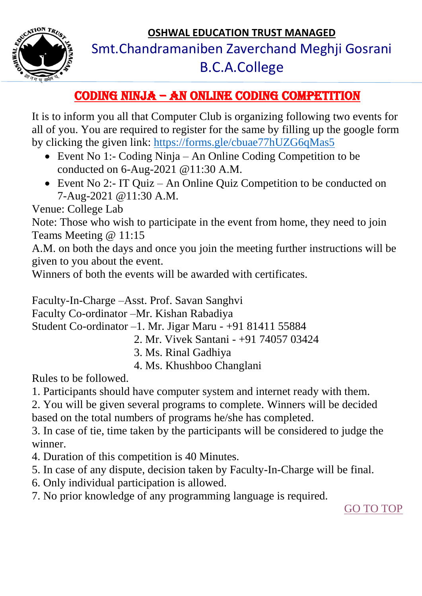

## Smt.Chandramaniben Zaverchand Meghji Gosrani B.C.A.College

#### <span id="page-4-0"></span>Coding Ninja – An Online Coding Competition

It is to inform you all that Computer Club is organizing following two events for all of you. You are required to register for the same by filling up the google form by clicking the given link:<https://forms.gle/cbuae77hUZG6qMas5>

- Event No 1:- Coding Ninja An Online Coding Competition to be conducted on 6-Aug-2021 @11:30 A.M.
- Event No 2:- IT Quiz An Online Quiz Competition to be conducted on 7-Aug-2021 @11:30 A.M.

Venue: College Lab

Note: Those who wish to participate in the event from home, they need to join Teams Meeting @ 11:15

A.M. on both the days and once you join the meeting further instructions will be given to you about the event.

Winners of both the events will be awarded with certificates.

Faculty-In-Charge –Asst. Prof. Savan Sanghvi

Faculty Co-ordinator –Mr. Kishan Rabadiya

Student Co-ordinator –1. Mr. Jigar Maru - +91 81411 55884

- 2. Mr. Vivek Santani +91 74057 03424
- 3. Ms. Rinal Gadhiya
- 4. Ms. Khushboo Changlani

Rules to be followed.

1. Participants should have computer system and internet ready with them.

2. You will be given several programs to complete. Winners will be decided

based on the total numbers of programs he/she has completed.

3. In case of tie, time taken by the participants will be considered to judge the winner.

4. Duration of this competition is 40 Minutes.

- 5. In case of any dispute, decision taken by Faculty-In-Charge will be final.
- 6. Only individual participation is allowed.
- 7. No prior knowledge of any programming language is required.

[GO TO TOP](#page-0-0)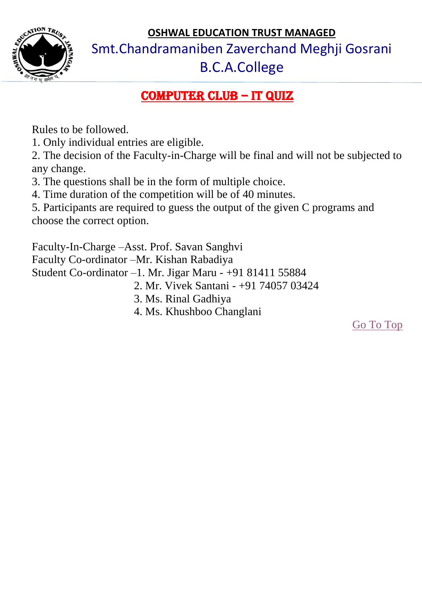

Smt.Chandramaniben Zaverchand Meghji Gosrani

### B.C.A.College

### Computer Club – it quiz

<span id="page-5-0"></span>Rules to be followed.

1. Only individual entries are eligible.

2. The decision of the Faculty-in-Charge will be final and will not be subjected to any change.

3. The questions shall be in the form of multiple choice.

4. Time duration of the competition will be of 40 minutes.

5. Participants are required to guess the output of the given C programs and choose the correct option.

Faculty-In-Charge –Asst. Prof. Savan Sanghvi Faculty Co-ordinator –Mr. Kishan Rabadiya Student Co-ordinator –1. Mr. Jigar Maru - +91 81411 55884 2. Mr. Vivek Santani - +91 74057 03424

- 3. Ms. Rinal Gadhiya
- 4. Ms. Khushboo Changlani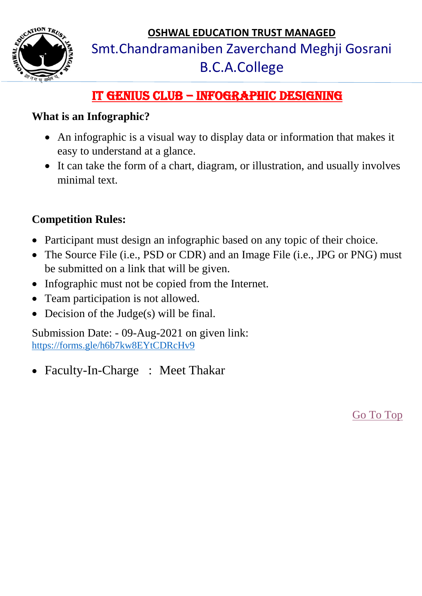

## Smt.Chandramaniben Zaverchand Meghji Gosrani B.C.A.College

### <span id="page-6-0"></span>IT Genius Club – Infographic Designing

#### **What is an Infographic?**

- An infographic is a visual way to display data or information that makes it easy to understand at a glance.
- It can take the form of a chart, diagram, or illustration, and usually involves minimal text.

#### **Competition Rules:**

- Participant must design an infographic based on any topic of their choice.
- The Source File (i.e., PSD or CDR) and an Image File (i.e., JPG or PNG) must be submitted on a link that will be given.
- Infographic must not be copied from the Internet.
- Team participation is not allowed.
- Decision of the Judge(s) will be final.

Submission Date: - 09-Aug-2021 on given link: <https://forms.gle/h6b7kw8EYtCDRcHv9>

• Faculty-In-Charge : Meet Thakar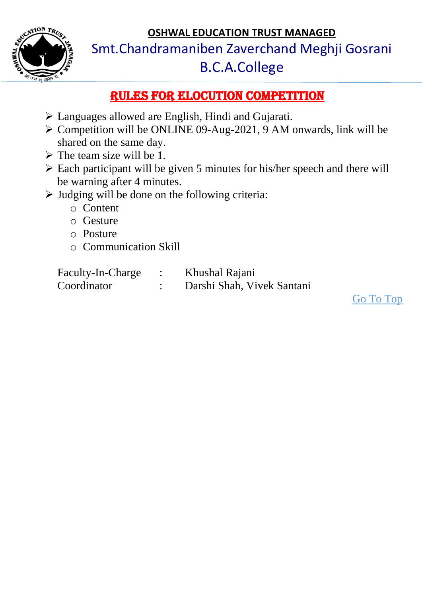

Smt.Chandramaniben Zaverchand Meghji Gosrani B.C.A.College

#### <span id="page-7-0"></span>Rules for ELOCUTION Competition

- Languages allowed are English, Hindi and Gujarati.
- $\triangleright$  Competition will be ONLINE 09-Aug-2021, 9 AM onwards, link will be shared on the same day.
- $\triangleright$  The team size will be 1.
- Each participant will be given 5 minutes for his/her speech and there will be warning after 4 minutes.
- $\triangleright$  Judging will be done on the following criteria:
	- o Content
	- o Gesture
	- o Posture
	- o Communication Skill

| Faculty-In-Charge | Khushal Rajani             |
|-------------------|----------------------------|
| Coordinator       | Darshi Shah, Vivek Santani |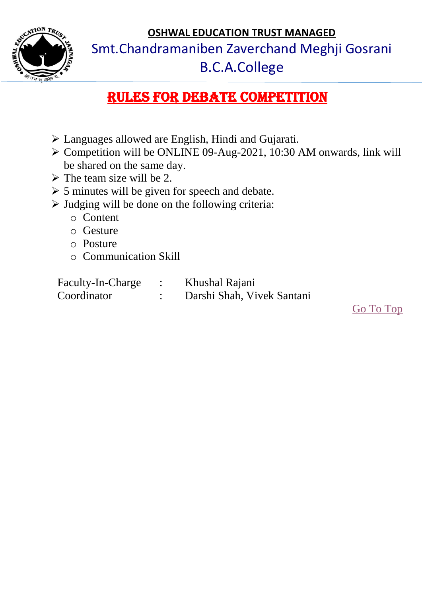

Smt.Chandramaniben Zaverchand Meghji Gosrani

## <span id="page-8-0"></span>B.C.A.College

## Rules for Debate Competition

- Languages allowed are English, Hindi and Gujarati.
- $\triangleright$  Competition will be ONLINE 09-Aug-2021, 10:30 AM onwards, link will be shared on the same day.
- $\triangleright$  The team size will be 2.
- $\geq$  5 minutes will be given for speech and debate.
- $\triangleright$  Judging will be done on the following criteria:
	- o Content
	- o Gesture
	- o Posture
	- o Communication Skill

| Faculty-In-Charge | Khushal Rajani             |
|-------------------|----------------------------|
| Coordinator       | Darshi Shah, Vivek Santani |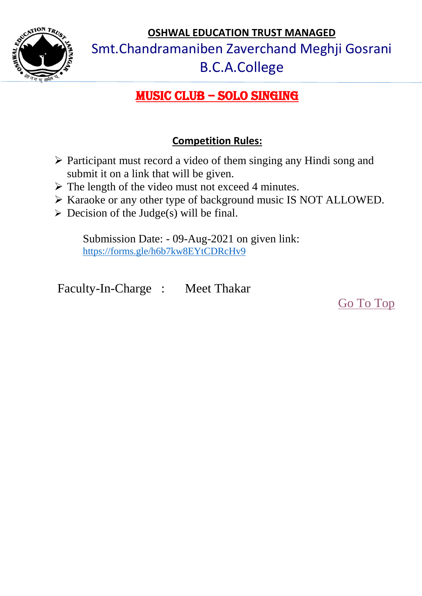

Smt.Chandramaniben Zaverchand Meghji Gosrani

## B.C.A.College

### <span id="page-9-0"></span>Music Club – Solo Singing

#### **Competition Rules:**

- $\triangleright$  Participant must record a video of them singing any Hindi song and submit it on a link that will be given.
- $\triangleright$  The length of the video must not exceed 4 minutes.
- > Karaoke or any other type of background music IS NOT ALLOWED.
- $\triangleright$  Decision of the Judge(s) will be final.

Submission Date: - 09-Aug-2021 on given link: <https://forms.gle/h6b7kw8EYtCDRcHv9>

Faculty-In-Charge : Meet Thakar